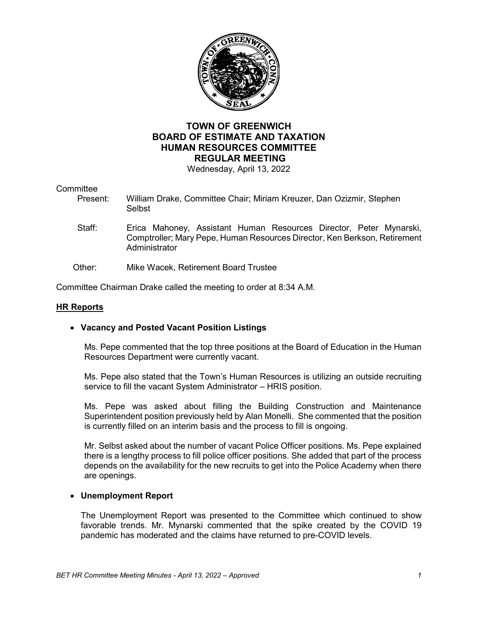

# **TOWN OF GREENWICH BOARD OF ESTIMATE AND TAXATION HUMAN RESOURCES COMMITTEE REGULAR MEETING**

Wednesday, April 13, 2022

# Committee<br>Present

- William Drake, Committee Chair; Miriam Kreuzer, Dan Ozizmir, Stephen **Selbst** 
	- Staff: Erica Mahoney, Assistant Human Resources Director, Peter Mynarski, Comptroller; Mary Pepe, Human Resources Director, Ken Berkson, Retirement **Administrator**
- Other: Mike Wacek, Retirement Board Trustee

Committee Chairman Drake called the meeting to order at 8:34 A.M.

#### **HR Reports**

### • **Vacancy and Posted Vacant Position Listings**

Ms. Pepe commented that the top three positions at the Board of Education in the Human Resources Department were currently vacant.

Ms. Pepe also stated that the Town's Human Resources is utilizing an outside recruiting service to fill the vacant System Administrator – HRIS position.

Ms. Pepe was asked about filling the Building Construction and Maintenance Superintendent position previously held by Alan Monelli. She commented that the position is currently filled on an interim basis and the process to fill is ongoing.

Mr. Selbst asked about the number of vacant Police Officer positions. Ms. Pepe explained there is a lengthy process to fill police officer positions. She added that part of the process depends on the availability for the new recruits to get into the Police Academy when there are openings.

#### • **Unemployment Report**

The Unemployment Report was presented to the Committee which continued to show favorable trends. Mr. Mynarski commented that the spike created by the COVID 19 pandemic has moderated and the claims have returned to pre-COVID levels.